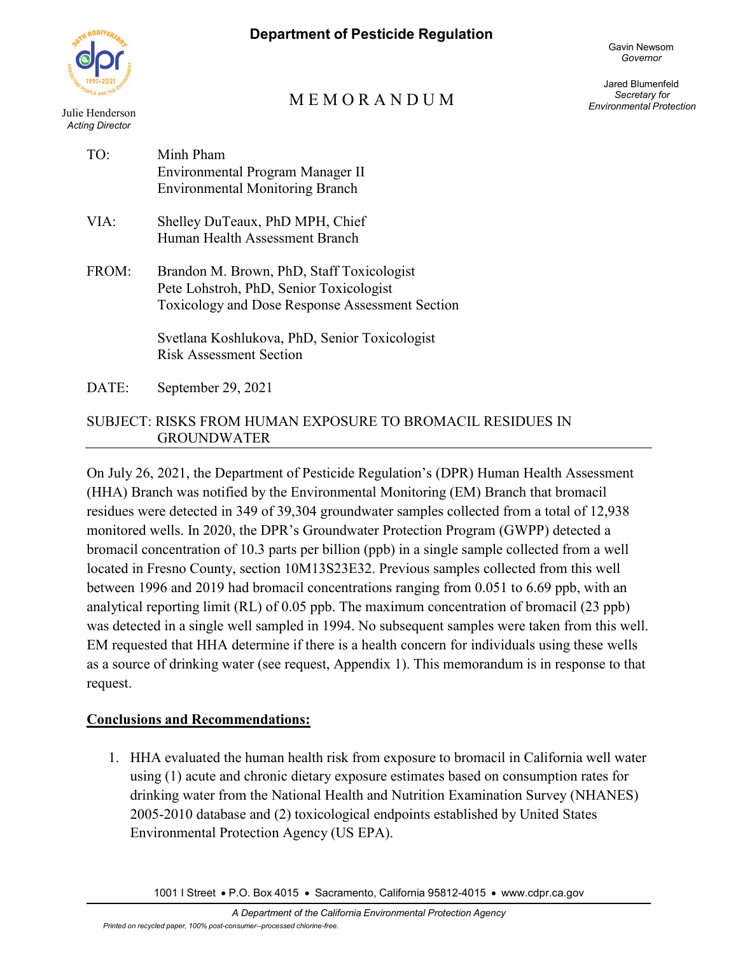

Julie Henderson *Acting Director*

# M E M O R A N D U M

Jared Blumenfeld *Secretary for Environmental Protection*

| TO:   | Minh Pham<br>Environmental Program Manager II<br><b>Environmental Monitoring Branch</b>                                                                                                                                    |
|-------|----------------------------------------------------------------------------------------------------------------------------------------------------------------------------------------------------------------------------|
| VIA:  | Shelley DuTeaux, PhD MPH, Chief<br>Human Health Assessment Branch                                                                                                                                                          |
| FROM: | Brandon M. Brown, PhD, Staff Toxicologist<br>Pete Lohstroh, PhD, Senior Toxicologist<br>Toxicology and Dose Response Assessment Section<br>Svetlana Koshlukova, PhD, Senior Toxicologist<br><b>Risk Assessment Section</b> |

DATE: September 29, 2021

#### SUBJECT: RISKS FROM HUMAN EXPOSURE TO BROMACIL RESIDUES IN GROUNDWATER

On July 26, 2021, the Department of Pesticide Regulation's (DPR) Human Health Assessment (HHA) Branch was notified by the Environmental Monitoring (EM) Branch that bromacil residues were detected in 349 of 39,304 groundwater samples collected from a total of 12,938 monitored wells. In 2020, the DPR's Groundwater Protection Program (GWPP) detected a bromacil concentration of 10.3 parts per billion (ppb) in a single sample collected from a well located in Fresno County, section 10M13S23E32. Previous samples collected from this well between 1996 and 2019 had bromacil concentrations ranging from 0.051 to 6.69 ppb, with an analytical reporting limit (RL) of 0.05 ppb. The maximum concentration of bromacil (23 ppb) was detected in a single well sampled in 1994. No subsequent samples were taken from this well. EM requested that HHA determine if there is a health concern for individuals using these wells as a source of drinking water (see request, Appendix 1). This memorandum is in response to that request.

### **Conclusions and Recommendations:**

1. HHA evaluated the human health risk from exposure to bromacil in California well water using (1) acute and chronic dietary exposure estimates based on consumption rates for drinking water from the National Health and Nutrition Examination Survey (NHANES) 2005-2010 database and (2) toxicological endpoints established by United States Environmental Protection Agency (US EPA).

1001 I Street • P.O. Box 4015 • Sacramento, California 95812-4015 • www.cdpr.ca.gov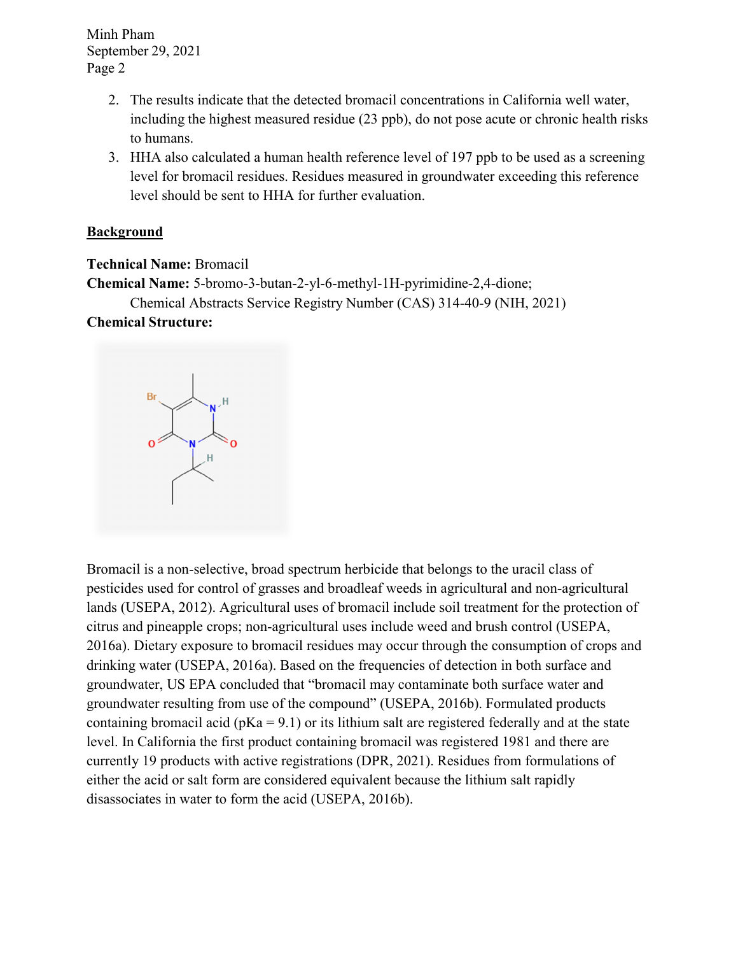- 2. The results indicate that the detected bromacil concentrations in California well water, including the highest measured residue (23 ppb), do not pose acute or chronic health risks to humans.
- 3. HHA also calculated a human health reference level of 197 ppb to be used as a screening level for bromacil residues. Residues measured in groundwater exceeding this reference level should be sent to HHA for further evaluation.

#### **Background**

**Technical Name:** Bromacil

**Chemical Name:** 5-bromo-3-butan-2-yl-6-methyl-1H-pyrimidine-2,4-dione;

Chemical Abstracts Service Registry Number (CAS) 314-40-9 (NIH, 2021)

#### **Chemical Structure:**

Bromacil is a non-selective, broad spectrum herbicide that belongs to the uracil class of pesticides used for control of grasses and broadleaf weeds in agricultural and non-agricultural lands (USEPA, 2012). Agricultural uses of bromacil include soil treatment for the protection of citrus and pineapple crops; non-agricultural uses include weed and brush control (USEPA, 2016a). Dietary exposure to bromacil residues may occur through the consumption of crops and drinking water (USEPA, 2016a). Based on the frequencies of detection in both surface and groundwater, US EPA concluded that "bromacil may contaminate both surface water and groundwater resulting from use of the compound" (USEPA, 2016b). Formulated products containing bromacil acid ( $pKa = 9.1$ ) or its lithium salt are registered federally and at the state level. In California the first product containing bromacil was registered 1981 and there are currently 19 products with active registrations (DPR, 2021). Residues from formulations of either the acid or salt form are considered equivalent because the lithium salt rapidly disassociates in water to form the acid (USEPA, 2016b).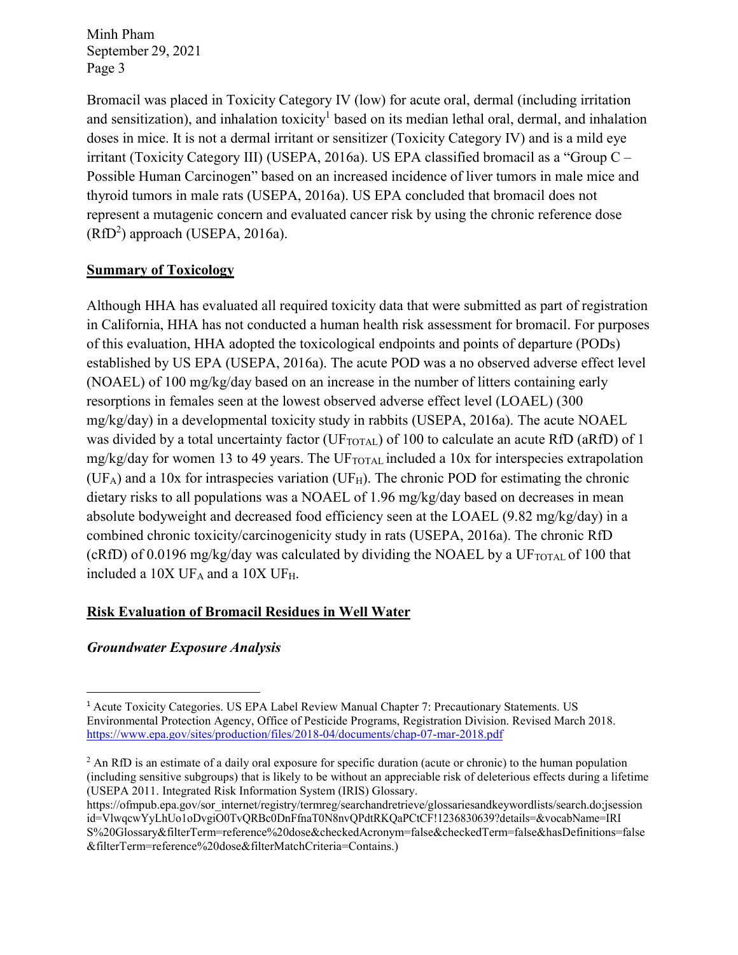and sensitization), and inhalation toxicity<sup>1</sup> based on its median lethal oral, dermal, and inhalation  $(RfD<sup>2</sup>)$  approach (USEPA, 2016a). Bromacil was placed in Toxicity Category IV (low) for acute oral, dermal (including irritation doses in mice. It is not a dermal irritant or sensitizer (Toxicity Category IV) and is a mild eye irritant (Toxicity Category III) (USEPA, 2016a). US EPA classified bromacil as a "Group C – Possible Human Carcinogen" based on an increased incidence of liver tumors in male mice and thyroid tumors in male rats (USEPA, 2016a). US EPA concluded that bromacil does not represent a mutagenic concern and evaluated cancer risk by using the chronic reference dose

#### **Summary of Toxicology**

Although HHA has evaluated all required toxicity data that were submitted as part of registration in California, HHA has not conducted a human health risk assessment for bromacil. For purposes of this evaluation, HHA adopted the toxicological endpoints and points of departure (PODs) established by US EPA (USEPA, 2016a). The acute POD was a no observed adverse effect level (NOAEL) of 100 mg/kg/day based on an increase in the number of litters containing early resorptions in females seen at the lowest observed adverse effect level (LOAEL) (300 mg/kg/day) in a developmental toxicity study in rabbits (USEPA, 2016a). The acute NOAEL was divided by a total uncertainty factor (UF<sub>TOTAL</sub>) of 100 to calculate an acute RfD (aRfD) of 1 mg/kg/day for women 13 to 49 years. The UFTOTAL included a 10x for interspecies extrapolation  $(UF_A)$  and a 10x for intraspecies variation  $(UF_H)$ . The chronic POD for estimating the chronic dietary risks to all populations was a NOAEL of 1.96 mg/kg/day based on decreases in mean absolute bodyweight and decreased food efficiency seen at the LOAEL (9.82 mg/kg/day) in a combined chronic toxicity/carcinogenicity study in rats (USEPA, 2016a). The chronic RfD  $(cRfD)$  of 0.0196 mg/kg/day was calculated by dividing the NOAEL by a UF<sub>TOTAL</sub> of 100 that included a 10X UFA and a 10X UFH.

#### **Risk Evaluation of Bromacil Residues in Well Water**

### *Groundwater Exposure Analysis*

<sup>1</sup> Acute Toxicity Categories. US EPA Label Review Manual Chapter 7: Precautionary Statements. US Environmental Protection Agency, Office of Pesticide Programs, Registration Division. Revised March 2018. <https://www.epa.gov/sites/production/files/2018-04/documents/chap-07-mar-2018.pdf>

 $2$  An RfD is an estimate of a daily oral exposure for specific duration (acute or chronic) to the human population (including sensitive subgroups) that is likely to be without an appreciable risk of deleterious effects during a lifetime (USEPA 2011. Integrated Risk Information System (IRIS) Glossary.

https://ofmpub.epa.gov/sor\_internet/registry/termreg/searchandretrieve/glossariesandkeywordlists/search.do;jsession id=VlwqcwYyLhUo1oDvgiO0TvQRBc0DnFfnaT0N8nvQPdtRKQaPCtCF!1236830639?details=&vocabName=IRI [S%20Glossary&filterTerm=reference%20dose&checkedAcronym=false&checkedTerm=false&hasDefinitions=false](https://ofmpub.epa.gov/sor_internet/registry/termreg/searchandretrieve/glossariesandkeywordlists/search.do;jsession id=VlwqcwYyLhUo1oDvgiO0TvQRBc0DnFfnaT0N8nvQPdtRKQaPCtCF!1236830639?details=&vocabName=IRI S%20Glossary&filterTerm=reference%20dose&checkedAcronym=false&checkedTerm=false&hasDefinitions=false &filterTerm=reference%20dose&filterMatchCriteria=Contains) &filterTerm=reference%20dose&filterMatchCriteria=Contains.)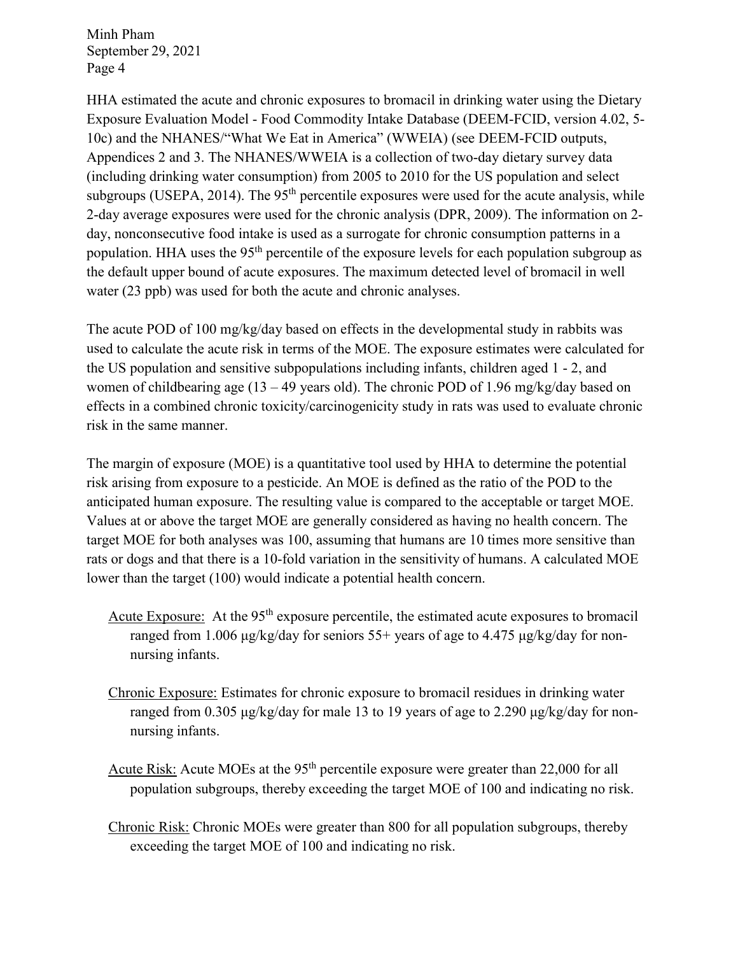HHA estimated the acute and chronic exposures to bromacil in drinking water using the Dietary Exposure Evaluation Model - Food Commodity Intake Database (DEEM-FCID, version 4.02, 5- 10c) and the NHANES/"What We Eat in America" (WWEIA) (see DEEM-FCID outputs, Appendices 2 and 3. The NHANES/WWEIA is a collection of two-day dietary survey data (including drinking water consumption) from 2005 to 2010 for the US population and select subgroups (USEPA, 2014). The  $95<sup>th</sup>$  percentile exposures were used for the acute analysis, while 2-day average exposures were used for the chronic analysis (DPR, 2009). The information on 2 day, nonconsecutive food intake is used as a surrogate for chronic consumption patterns in a population. HHA uses the 95<sup>th</sup> percentile of the exposure levels for each population subgroup as the default upper bound of acute exposures. The maximum detected level of bromacil in well water (23 ppb) was used for both the acute and chronic analyses.

The acute POD of 100 mg/kg/day based on effects in the developmental study in rabbits was used to calculate the acute risk in terms of the MOE. The exposure estimates were calculated for the US population and sensitive subpopulations including infants, children aged 1 - 2, and women of childbearing age  $(13 - 49$  years old). The chronic POD of 1.96 mg/kg/day based on effects in a combined chronic toxicity/carcinogenicity study in rats was used to evaluate chronic risk in the same manner.

The margin of exposure (MOE) is a quantitative tool used by HHA to determine the potential risk arising from exposure to a pesticide. An MOE is defined as the ratio of the POD to the anticipated human exposure. The resulting value is compared to the acceptable or target MOE. Values at or above the target MOE are generally considered as having no health concern. The target MOE for both analyses was 100, assuming that humans are 10 times more sensitive than rats or dogs and that there is a 10-fold variation in the sensitivity of humans. A calculated MOE lower than the target (100) would indicate a potential health concern.

- Acute Exposure: At the  $95<sup>th</sup>$  exposure percentile, the estimated acute exposures to bromacil ranged from 1.006 μg/kg/day for seniors 55+ years of age to 4.475 μg/kg/day for nonnursing infants.
- Chronic Exposure: Estimates for chronic exposure to bromacil residues in drinking water ranged from 0.305 μg/kg/day for male 13 to 19 years of age to 2.290 μg/kg/day for nonnursing infants.
- Acute Risk: Acute MOEs at the 95<sup>th</sup> percentile exposure were greater than 22,000 for all population subgroups, thereby exceeding the target MOE of 100 and indicating no risk.
- Chronic Risk: Chronic MOEs were greater than 800 for all population subgroups, thereby exceeding the target MOE of 100 and indicating no risk.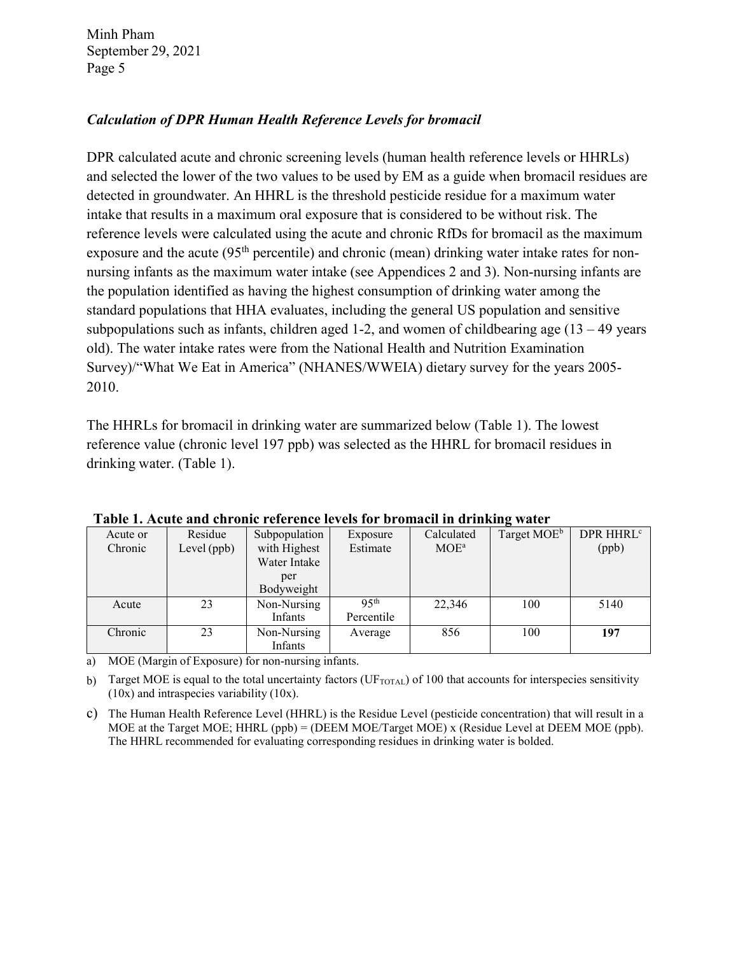### *Calculation of DPR Human Health Reference Levels for bromacil*

DPR calculated acute and chronic screening levels (human health reference levels or HHRLs) and selected the lower of the two values to be used by EM as a guide when bromacil residues are detected in groundwater. An HHRL is the threshold pesticide residue for a maximum water intake that results in a maximum oral exposure that is considered to be without risk. The reference levels were calculated using the acute and chronic RfDs for bromacil as the maximum exposure and the acute (95<sup>th</sup> percentile) and chronic (mean) drinking water intake rates for nonnursing infants as the maximum water intake (see Appendices 2 and 3). Non-nursing infants are the population identified as having the highest consumption of drinking water among the standard populations that HHA evaluates, including the general US population and sensitive subpopulations such as infants, children aged 1-2, and women of childbearing age  $(13 - 49)$  years old). The water intake rates were from the National Health and Nutrition Examination Survey)/"What We Eat in America" (NHANES/WWEIA) dietary survey for the years 2005- 2010.

The HHRLs for bromacil in drinking water are summarized below (Table 1). The lowest reference value (chronic level 197 ppb) was selected as the HHRL for bromacil residues in drinking water. (Table 1).

| Tubic II Acute und chronic reference ictem for broniuch in urmining water |               |               |                  |            |                         |                       |  |
|---------------------------------------------------------------------------|---------------|---------------|------------------|------------|-------------------------|-----------------------|--|
| Acute or                                                                  | Residue       | Subpopulation | Exposure         | Calculated | Target MOE <sup>b</sup> | DPR HHRL <sup>c</sup> |  |
| Chronic                                                                   | Level $(ppb)$ | with Highest  | Estimate         | $MOE^a$    |                         | (ppb)                 |  |
|                                                                           |               | Water Intake  |                  |            |                         |                       |  |
|                                                                           |               | per           |                  |            |                         |                       |  |
|                                                                           |               | Bodyweight    |                  |            |                         |                       |  |
| Acute                                                                     | 23            | Non-Nursing   | 95 <sup>th</sup> | 22,346     | 100                     | 5140                  |  |
|                                                                           |               | Infants       | Percentile       |            |                         |                       |  |
| Chronic                                                                   | 23            | Non-Nursing   | Average          | 856        | 100                     | 197                   |  |
|                                                                           |               | Infants       |                  |            |                         |                       |  |

**Table 1. Acute and chronic reference levels for bromacil in drinking water**

a) MOE (Margin of Exposure) for non-nursing infants.

b) Target MOE is equal to the total uncertainty factors ( $UF_{\text{TOTAL}}$ ) of 100 that accounts for interspecies sensitivity (10x) and intraspecies variability (10x).

c) The Human Health Reference Level (HHRL) is the Residue Level (pesticide concentration) that will result in a MOE at the Target MOE; HHRL (ppb) = (DEEM MOE/Target MOE) x (Residue Level at DEEM MOE (ppb). The HHRL recommended for evaluating corresponding residues in drinking water is bolded.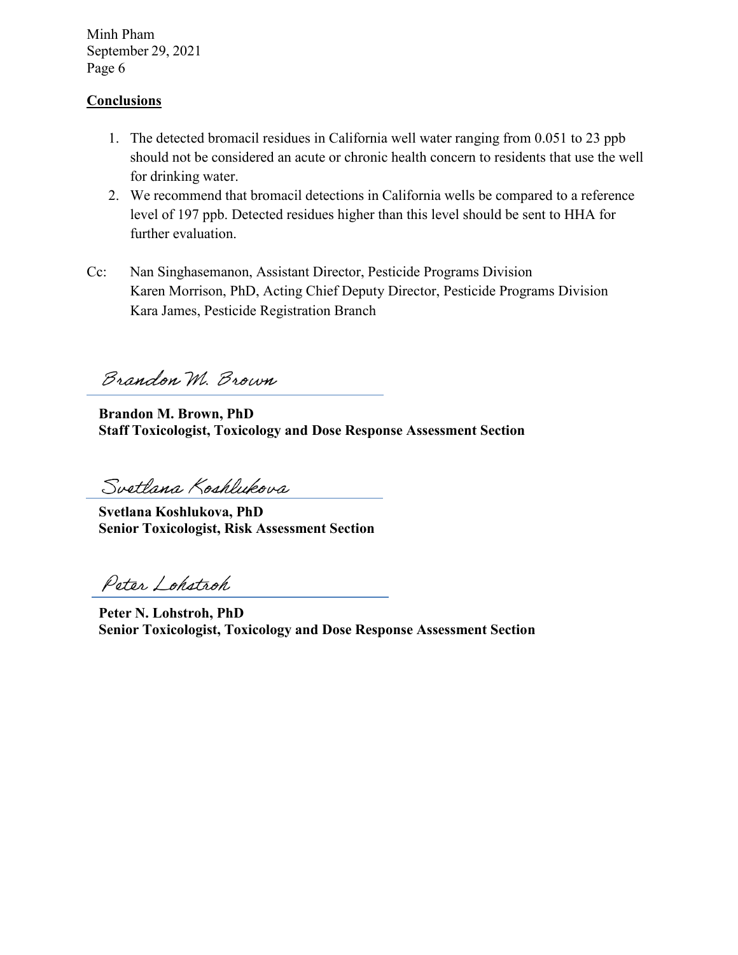#### **Conclusions**

- 1. The detected bromacil residues in California well water ranging from 0.051 to 23 ppb should not be considered an acute or chronic health concern to residents that use the well for drinking water.
- 2. We recommend that bromacil detections in California wells be compared to a reference level of 197 ppb. Detected residues higher than this level should be sent to HHA for further evaluation.
- Cc: Nan Singhasemanon, Assistant Director, Pesticide Programs Division Karen Morrison, PhD, Acting Chief Deputy Director, Pesticide Programs Division Kara James, Pesticide Registration Branch

Brandon M. Brown

**Brandon M. Brown, PhD Staff Toxicologist, Toxicology and Dose Response Assessment Section**

Svetlana Koshlukova

**Svetlana Koshlukova, PhD Senior Toxicologist, Risk Assessment Section**

Peter Lohstroh

**Peter N. Lohstroh, PhD Senior Toxicologist, Toxicology and Dose Response Assessment Section**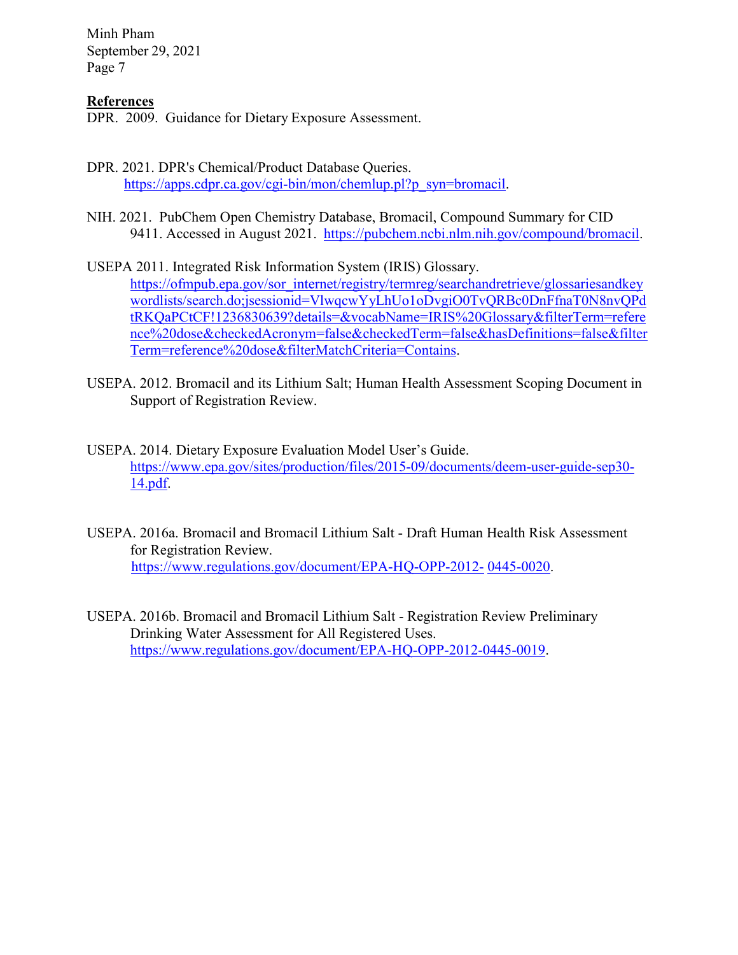#### **References**

DPR. 2009. Guidance for Dietary Exposure Assessment.

- DPR. 2021. DPR's Chemical/Product Database Queries. https://apps.cdpr.ca.gov/cgi-bin/mon/chemlup.pl?p\_syn=bromacil.
- NIH. 2021. PubChem Open Chemistry Database, Bromacil, Compound Summary for CID 9411. Accessed in August 2021. [https://pubchem.ncbi.nlm.nih.gov/compound/bromacil.](https://pubchem.ncbi.nlm.nih.gov/compound/bromacil)

USEPA 2011. Integrated Risk Information System (IRIS) Glossary. https://ofmpub.epa.gov/sor\_internet/registry/termreg/searchandretrieve/glossariesandkey [wordlists/search.do;jsessionid=VlwqcwYyLhUo1oDvgiO0TvQRBc0DnFfnaT0N8nvQPd](https://ofmpub.epa.gov/sor_internet/registry/termreg/searchandretrieve/glossariesandkeywordlists/search.do%3Bjsessionid%3DVlwqcwYyLhUo1oDvgiO0TvQRBc0DnFfnaT0N8nvQPdtRKQaPCtCF!1236830639?details&vocabName=IRIS%20Glossary&filterTerm=reference%20dose&checkedAcronym=false&checkedTerm=false&hasDefinitions=false&filterTerm=reference%20dose&filterMatchCriteria=Contains) tRKQaPCtCF!1236830639?details=&vocabName=IRIS%20Glossary&filterTerm=refere nce%20dose&checkedAcronym=false&checkedTerm=false&hasDefinitions=false&filter Term=reference%20dose&filterMatchCriteria=Contains.

- USEPA. 2012. Bromacil and its Lithium Salt; Human Health Assessment Scoping Document in Support of Registration Review.
- USEPA. 2014. Dietary Exposure Evaluation Model User's Guide. [https://www.epa.gov/sites/production/files/2015-09/documents/deem-user-guide-sep30-](https://www.epa.gov/sites/production/files/2015-09/documents/deem-user-guide-sep30-14.pdf) 14.pdf.
- USEPA. 2016a. Bromacil and Bromacil Lithium Salt Draft Human Health Risk Assessment for Registration Review. [https://www.regulations.gov/document/EPA-HQ-OPP-2012-](https://www.regulations.gov/document/EPA-HQ-OPP-2012-0445-0020) 0445-0020.
- USEPA. 2016b. Bromacil and Bromacil Lithium Salt Registration Review Preliminary Drinking Water Assessment for All Registered Uses. [https://www.regulations.gov/document/EPA-HQ-OPP-2012-0445-0019.](https://www.regulations.gov/document/EPA-HQ-OPP-2012-0445-0019)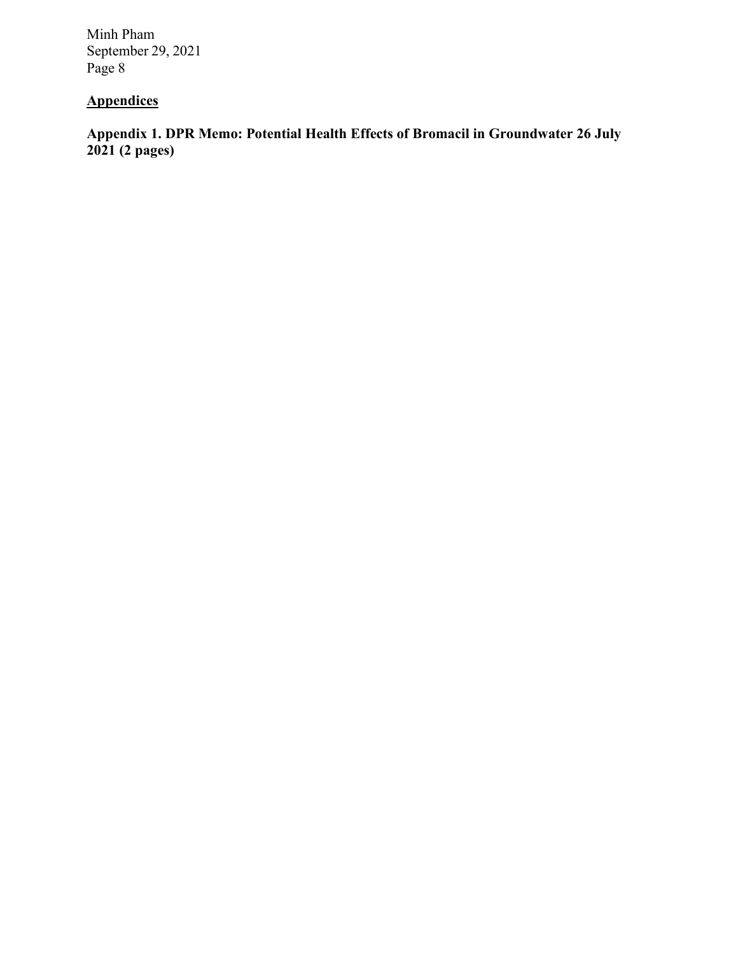# **Appendices**

**Appendix 1. DPR Memo: Potential Health Effects of Bromacil in Groundwater 26 July 2021 (2 pages)**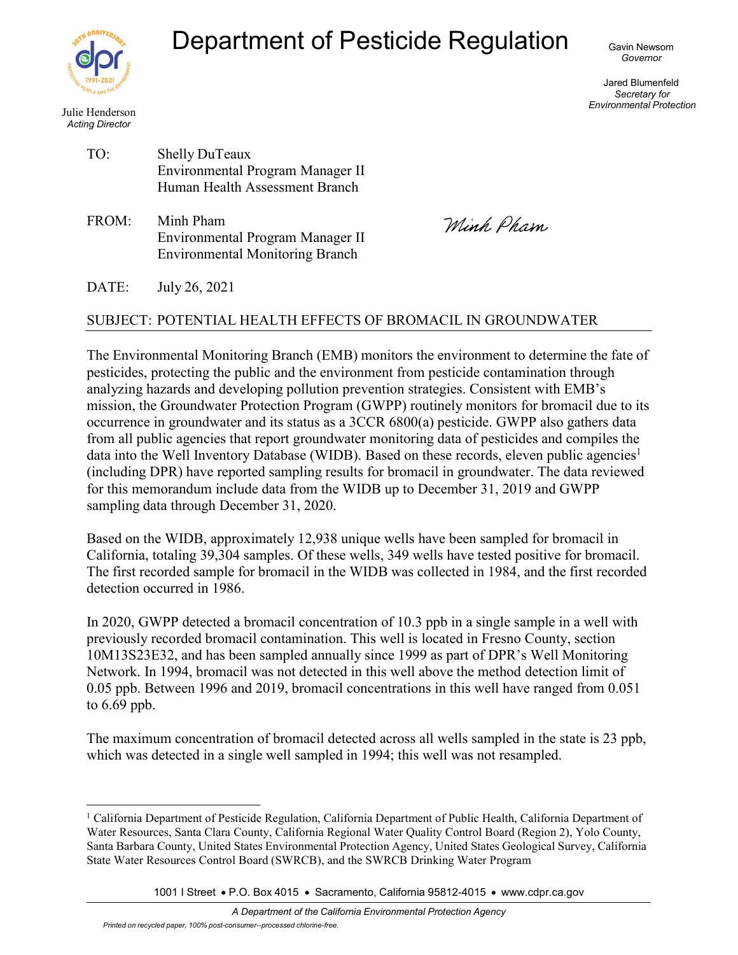

Julie Henderson

TO:

# Department of Pesticide Regulation

Gavin Newsom *Governor*

Jared Blumenfeld *Secretary for Environmental Protection*

| Acting Director |  |
|-----------------|--|
|                 |  |

| <b>Shelly DuTeaux</b>            |
|----------------------------------|
| Environmental Program Manager II |
| Human Health Assessment Branch   |

FROM: Minh Pham Environmental Program Manager II Environmental Monitoring Branch

Winh, Pham,

DATE: July 26, 2021

#### SUBJECT: POTENTIAL HEALTH EFFECTS OF BROMACIL IN GROUNDWATER

The Environmental Monitoring Branch (EMB) monitors the environment to determine the fate of pesticides, protecting the public and the environment from pesticide contamination through analyzing hazards and developing pollution prevention strategies. Consistent with EMB's mission, the Groundwater Protection Program (GWPP) routinely monitors for bromacil due to its occurrence in groundwater and its status as a 3CCR 6800(a) pesticide. GWPP also gathers data from all public agencies that report groundwater monitoring data of pesticides and compiles the data into the Well Inventory Database (WIDB). Based on these records, eleven public agencies<sup>1</sup> (including DPR) have reported sampling results for bromacil in groundwater. The data reviewed for this memorandum include data from the WIDB up to December 31, 2019 and GWPP sampling data through December 31, 2020.

Based on the WIDB, approximately 12,938 unique wells have been sampled for bromacil in California, totaling 39,304 samples. Of these wells, 349 wells have tested positive for bromacil. The first recorded sample for bromacil in the WIDB was collected in 1984, and the first recorded detection occurred in 1986.

In 2020, GWPP detected a bromacil concentration of 10.3 ppb in a single sample in a well with previously recorded bromacil contamination. This well is located in Fresno County, section 10M13S23E32, and has been sampled annually since 1999 as part of DPR's Well Monitoring Network. In 1994, bromacil was not detected in this well above the method detection limit of 0.05 ppb. Between 1996 and 2019, bromacil concentrations in this well have ranged from 0.051 to 6.69 ppb.

The maximum concentration of bromacil detected across all wells sampled in the state is 23 ppb, which was detected in a single well sampled in 1994; this well was not resampled.

1001 I Street • P.O. Box 4015 • Sacramento, California 95812-4015 • www.cdpr.ca.gov

<sup>1</sup> California Department of Pesticide Regulation, California Department of Public Health, California Department of Water Resources, Santa Clara County, California Regional Water Quality Control Board (Region 2), Yolo County, Santa Barbara County, United States Environmental Protection Agency, United States Geological Survey, California State Water Resources Control Board (SWRCB), and the SWRCB Drinking Water Program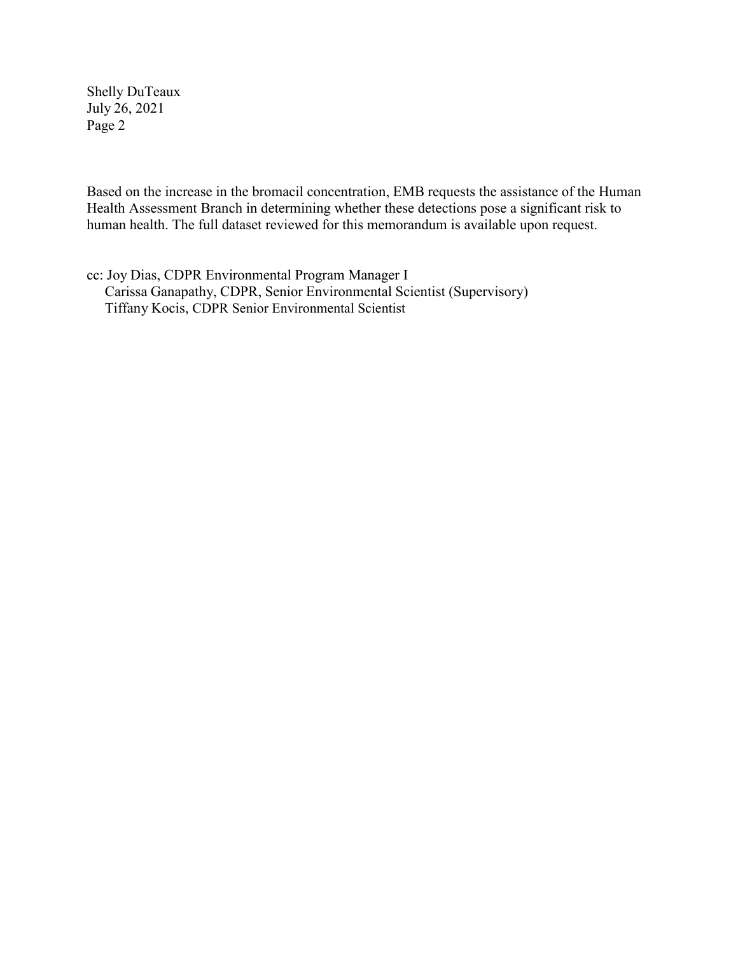Shelly DuTeaux July 26, 2021 Page 2

Based on the increase in the bromacil concentration, EMB requests the assistance of the Human Health Assessment Branch in determining whether these detections pose a significant risk to human health. The full dataset reviewed for this memorandum is available upon request.

cc: Joy Dias, CDPR Environmental Program Manager I Carissa Ganapathy, CDPR, Senior Environmental Scientist (Supervisory) Tiffany Kocis, CDPR Senior Environmental Scientist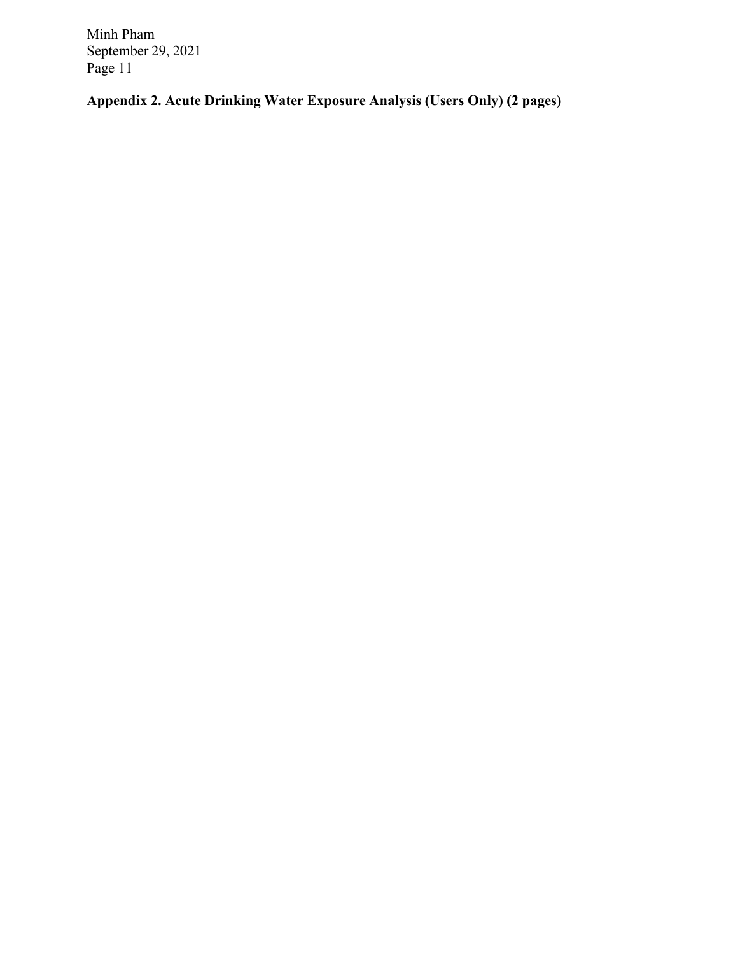**Appendix 2. Acute Drinking Water Exposure Analysis (Users Only) (2 pages)**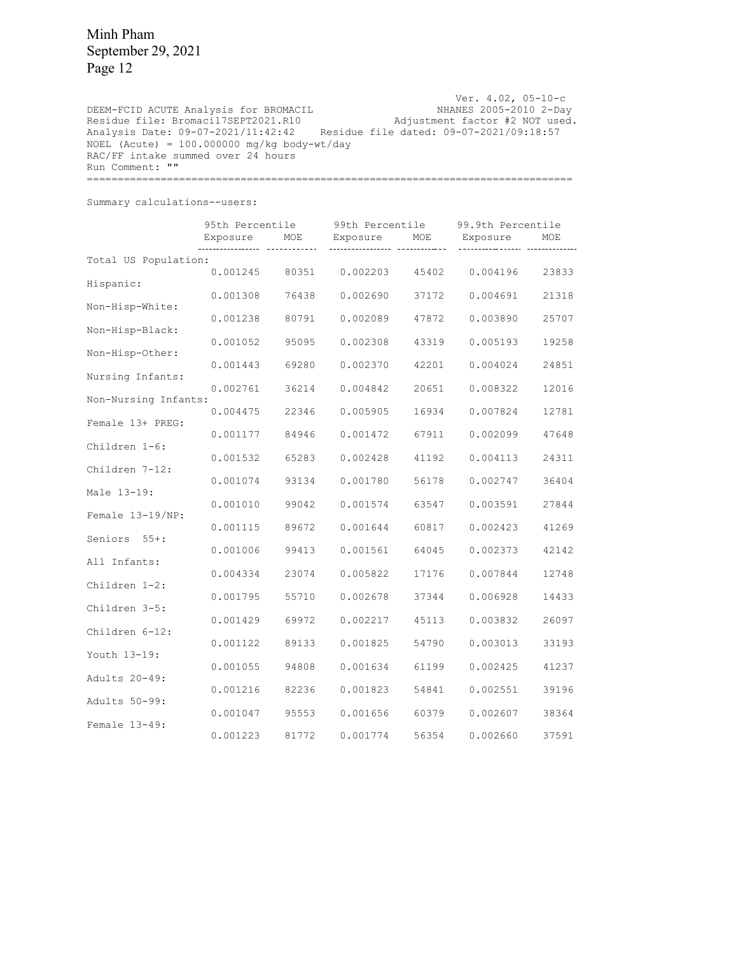Ver. 4.02, 05-10-c NHANES 2005-2010 2-Day Adjustment factor #2 NOT used. Analysis Date: 09–07–2021/11:42:42 Residue file dated: 09–07–2021/09:18:57 DEEM-FCID ACUTE Analysis for BROMACIL Residue file: Bromacil7SEPT2021.R10  $NOEL$  (Acute) = 100.000000 mg/kg body-wt/day RAC/FF intake summed over 24 hours Run Comment: "" ===============================================================================

Summary calculations--users:

|                      | 95th Percentile |       | 99th Percentile |       | 99.9th Percentile |       |
|----------------------|-----------------|-------|-----------------|-------|-------------------|-------|
|                      | Exposure        | MOE   | Exposure        | MOE   | Exposure          | MOE   |
| Total US Population: |                 |       |                 |       |                   |       |
| Hispanic:            | 0.001245        | 80351 | 0.002203        | 45402 | 0.004196          | 23833 |
|                      | 0.001308        | 76438 | 0.002690        | 37172 | 0.004691          | 21318 |
| Non-Hisp-White:      | 0.001238        | 80791 | 0.002089        | 47872 | 0.003890          | 25707 |
| Non-Hisp-Black:      |                 |       |                 |       |                   |       |
| Non-Hisp-Other:      | 0.001052        | 95095 | 0.002308        | 43319 | 0.005193          | 19258 |
| Nursing Infants:     | 0.001443        | 69280 | 0.002370        | 42201 | 0.004024          | 24851 |
|                      | 0.002761        | 36214 | 0.004842        | 20651 | 0.008322          | 12016 |
| Non-Nursing Infants: | 0.004475        | 22346 | 0.005905        | 16934 | 0.007824          | 12781 |
| Female 13+ PREG:     | 0.001177        | 84946 | 0.001472        | 67911 | 0.002099          | 47648 |
| Children 1-6:        |                 |       |                 |       |                   |       |
| Children 7-12:       | 0.001532        | 65283 | 0.002428        | 41192 | 0.004113          | 24311 |
|                      | 0.001074        | 93134 | 0.001780        | 56178 | 0.002747          | 36404 |
| Male 13-19:          | 0.001010        | 99042 | 0.001574        | 63547 | 0.003591          | 27844 |
| Female 13-19/NP:     | 0.001115        | 89672 | 0.001644        | 60817 | 0.002423          | 41269 |
| $55 + :$<br>Seniors  |                 |       |                 |       |                   |       |
| All Infants:         | 0.001006        | 99413 | 0.001561        | 64045 | 0.002373          | 42142 |
| Children 1-2:        | 0.004334        | 23074 | 0.005822        | 17176 | 0.007844          | 12748 |
|                      | 0.001795        | 55710 | 0.002678        | 37344 | 0.006928          | 14433 |
| Children 3-5:        | 0.001429        | 69972 | 0.002217        | 45113 | 0.003832          | 26097 |
| Children 6-12:       | 0.001122        |       | 0.001825        |       | 0.003013          | 33193 |
| Youth 13-19:         |                 | 89133 |                 | 54790 |                   |       |
| Adults 20-49:        | 0.001055        | 94808 | 0.001634        | 61199 | 0.002425          | 41237 |
|                      | 0.001216        | 82236 | 0.001823        | 54841 | 0.002551          | 39196 |
| Adults 50-99:        | 0.001047        | 95553 | 0.001656        | 60379 | 0.002607          | 38364 |
| Female 13-49:        | 0.001223        | 81772 | 0.001774        | 56354 | 0.002660          | 37591 |
|                      |                 |       |                 |       |                   |       |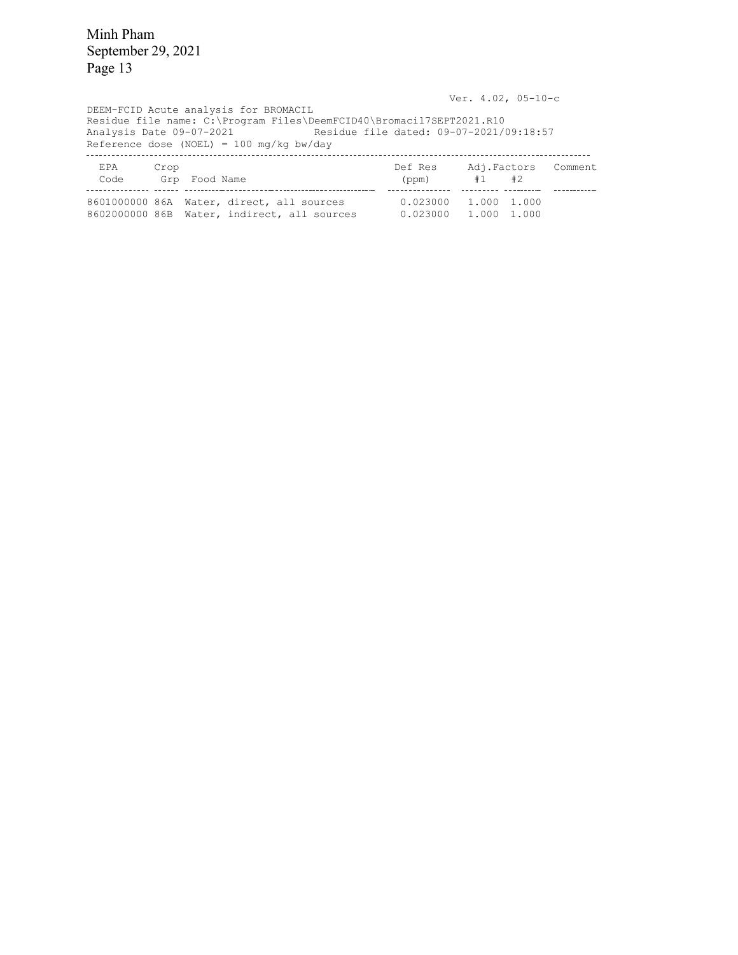Ver. 4.02, 05-10-c DEEM-FCID Acute analysis for BROMACIL Residue file name: C:\Program Files\DeemFCID40\Bromacil7SEPT2021.R10 Analysis Date 09-07-2021 Residue file dated: 09-07-2021/09:18:57 Reference dose (NOEL) = 100 mg/kg bw/day EPA Code Crop Grp Def Res (ppm) Adj. #1 Factors #2 Comment Food Name - - - 8601000000 86A Water, direct, all sources 0.023000 1.000 1.000 8602000000 86B Water, indirect, all sources 0.023000 1.000 1.000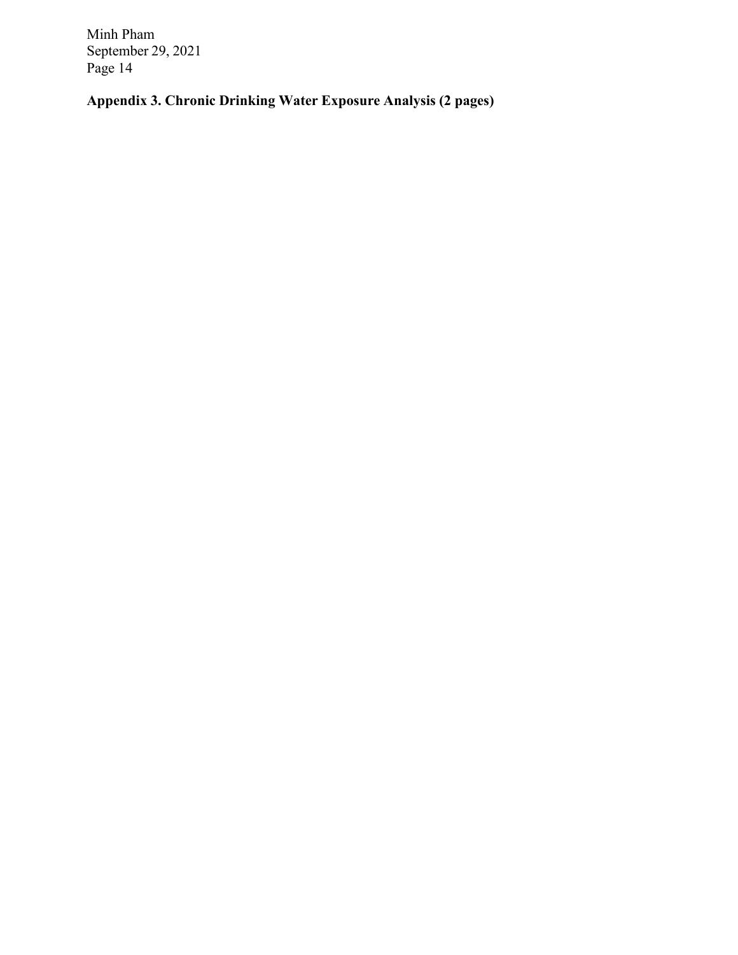**Appendix 3. Chronic Drinking Water Exposure Analysis (2 pages)**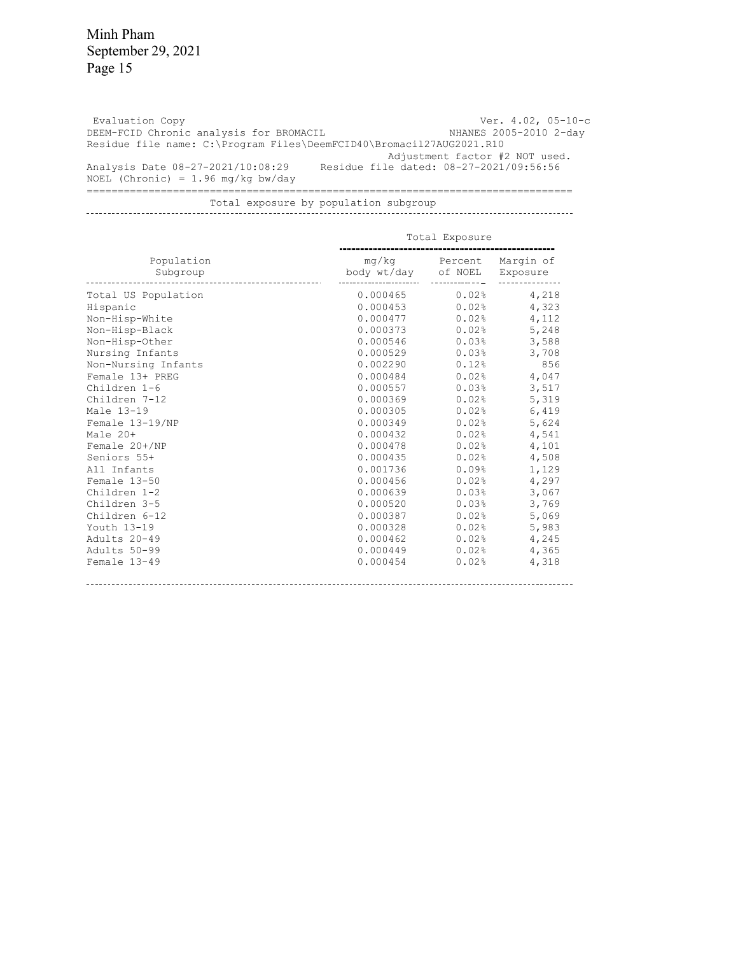Evaluation Copy DEEM-FCID Chronic analysis for BROMACIL Residue file name: C:\Program Files\DeemFCID40\Bromacil27AUG2021.R10<br>Adjustment factor #2 NOT used. Analysis Date 08-27-2021/10:08:29  $NOEL$  (Chronic) = 1.96 mg/kg bw/day Ver. 4.02, 05-10-c NHANES 2005-2010 2-day Adjustment factor #2 NOT used. Residue file dated: 08-27-2021/09:56:56 ===============================================================================

Total exposure by population subgroup

| Population          | mg/kg       | Percent | Margin of |
|---------------------|-------------|---------|-----------|
| Subgroup            | body wt/day | of NOEL | Exposure  |
|                     |             |         |           |
| Total US Population | 0.000465    | 0.02%   | 4,218     |
| Hispanic            | 0.000453    | 0.02%   | 4,323     |
| Non-Hisp-White      | 0.000477    | 0.02%   | 4,112     |
| Non-Hisp-Black      | 0.000373    | 0.02%   | 5,248     |
| Non-Hisp-Other      | 0.000546    | 0.03%   | 3,588     |
| Nursing Infants     | 0.000529    | 0.03%   | 3,708     |
| Non-Nursing Infants | 0.002290    | 0.12%   | 856       |
| Female 13+ PREG     | 0.000484    | 0.02%   | 4,047     |
| Children 1-6        | 0.000557    | 0.03%   | 3,517     |
| Children 7-12       | 0.000369    | 0.02%   | 5,319     |
| Male 13-19          | 0.000305    | 0.02%   | 6,419     |
| Female 13-19/NP     | 0.000349    | 0.02%   | 5,624     |
| Male 20+            | 0.000432    | 0.02%   | 4,541     |
| Female 20+/NP       | 0.000478    | 0.02%   | 4,101     |
| Seniors 55+         | 0.000435    | 0.02%   | 4,508     |
| All Infants         | 0.001736    | 0.09%   | 1,129     |
| Female 13-50        | 0.000456    | 0.02%   | 4,297     |
| Children 1-2        | 0.000639    | 0.03%   | 3,067     |
| Children 3-5        | 0.000520    | 0.03%   | 3,769     |
| Children 6-12       | 0.000387    | 0.02%   | 5,069     |
| Youth 13-19         | 0.000328    | 0.02%   | 5,983     |
| Adults 20-49        | 0.000462    | 0.02%   | 4,245     |
| Adults 50-99        | 0.000449    | 0.02%   | 4,365     |
| Female 13-49        | 0.000454    | 0.02%   | 4,318     |
|                     |             |         |           |

#### Total Exposure